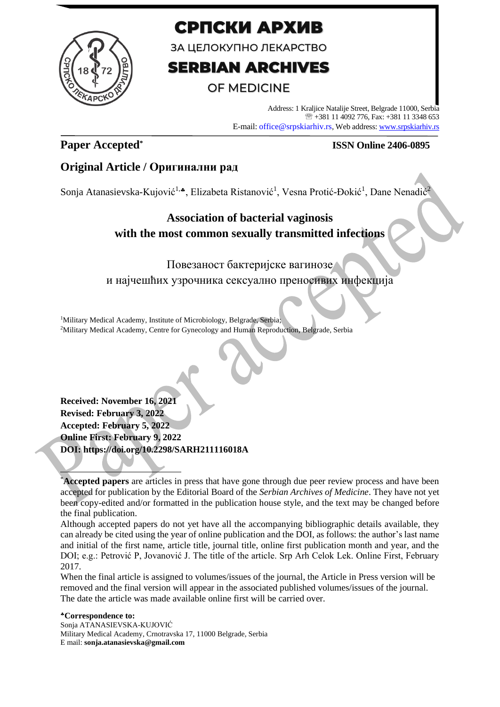

# СРПСКИ АРХИВ

ЗА ЦЕЛОКУПНО ЛЕКАРСТВО

# **SERBIAN ARCHIVES**

# **OF MEDICINE**

Address: 1 Kraljice Natalije Street, Belgrade 11000, Serbia +381 11 4092 776, Fax: +381 11 3348 653 E-mail: office@srpskiarhiv.rs, Web address[: www.srpskiarhiv.rs](http://www.srpskiarhiv.rs/)

# **Paper Accepted\***

# **ISSN Online 2406-0895**

# **Original Article / Оригинални рад**

Sonja Atanasievska-Kujović<sup>1,</sup>\*, Elizabeta Ristanović<sup>1</sup>, Vesna Protić-Đokić<sup>1</sup>, Dane Nenadić<sup>2</sup>

# **Association of bacterial vaginosis with the most common sexually transmitted infections**

Повезаност бактеријске вагинозе и најчешћих узрочника сексуално преносивих инфекција

<sup>1</sup>Military Medical Academy, Institute of Microbiology, Belgrade, Serbia; <sup>2</sup>Military Medical Academy, Centre for Gynecology and Human Reproduction, Belgrade, Serbia

**Received: November 16, 2021 Revised: February 3, 2022 Accepted: February 5, 2022 Online First: February 9, 2022 DOI: https://doi.org/10.2298/SARH211116018A**

Although accepted papers do not yet have all the accompanying bibliographic details available, they can already be cited using the year of online publication and the DOI, as follows: the author's last name and initial of the first name, article title, journal title, online first publication month and year, and the DOI; e.g.: Petrović P, Jovanović J. The title of the article. Srp Arh Celok Lek. Online First, February 2017.

When the final article is assigned to volumes/issues of the journal, the Article in Press version will be removed and the final version will appear in the associated published volumes/issues of the journal. The date the article was made available online first will be carried over.

#### **Correspondence to:** Sonja ATANASIEVSKA-KUJOVIĆ Military Medical Academy, Crnotravska 17, 11000 Belgrade, Serbia E mail: **sonja.atanasievska@gmail.com**

<sup>\*</sup>**Accepted papers** are articles in press that have gone through due peer review process and have been accepted for publication by the Editorial Board of the *Serbian Archives of Medicine*. They have not yet been copy-edited and/or formatted in the publication house style, and the text may be changed before the final publication.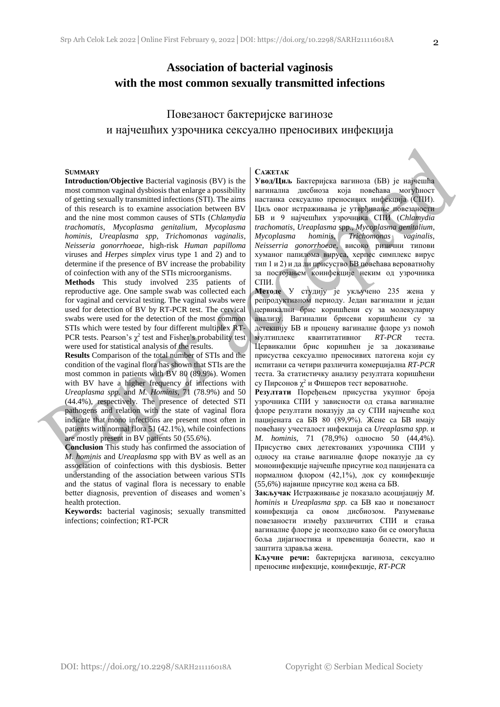## **Association of bacterial vaginosis with the most common sexually transmitted infections**

# Повезаност бактеријске вагинозе и најчешћих узрочника сексуално преносивих инфекција

#### **SUMMARY**

**Introduction/Objective** Bacterial vaginosis (BV) is the most common vaginal dysbiosis that enlarge a possibility of getting sexually transmitted infections (STI). The aims of this research is to examine association between BV and the nine most common causes of STIs (*Chlamydia trachomatis*, *Mycoplasma genitalium*, *Mycoplasma hominis*, *Ureaplasma spp*, *Trichomonas vaginalis*, *Neisseria gonorrhoeae*, high-risk *Human papilloma*  viruses and *Herpes simplex* virus type 1 and 2) and to determine if the presence of BV increase the probability of coinfection with any of the STIs microorganisms.

**Methods** This study involved 235 patients of reproductive age. One sample swab was collected each for vaginal and cervical testing. The vaginal swabs were used for detection of BV by RT-PCR test. The cervical swabs were used for the detection of the most common STIs which were tested by four different multiplex RT-PCR tests. Pearson's  $\chi^2$  test and Fisher's probability test were used for statistical analysis of the results.

**Results** Comparison of the total number of STIs and the condition of the vaginal flora has shown that STIs are the most common in patients with BV 80 (89.9%). Women with BV have a higher frequency of infections with *Ureaplasma spp.* and *M. Hominis*, 71 (78.9%) and 50 (44.4%), respectively*.* The presence of detected STI pathogens and relation with the state of vaginal flora indicate that mono infections are present most often in patients with normal flora 51 (42.1%), while coinfections are mostly present in BV patients 50 (55.6%).

**Conclusion** This study has confirmed the association of *M. hominis* and *Ureaplasma* spp with BV as well as an association of coinfections with this dysbiosis. Better understanding of the association between various STIs and the status of vaginal flora is necessary to enable better diagnosis, prevention of diseases and women's health protection.

**Keywords:** bacterial vaginosis; sexually transmitted infections; coinfection; RT-PCR

#### **САЖЕТАК**

**Увод/Циљ** Бактеријска вагиноза (БВ) је најчешћа вагинална дисбиоза која повећава могућност настанка сексуално преносивих инфекција (СПИ). Циљ овог истраживања је утврђивање повезаности БВ и 9 најчешћих узрочника СПИ (*Chlamydia trachomatis*, *Ureaplasma* spp., *Mycoplasma genitalium*, *Mycoplasma hominis, Trichomonas vaginalis, Neisserria gonorrhoeae*, високо ризични типови хуманог папилома вируса, херпес симплекс вирус тип 1 и 2) и да ли присуство БВ повећава вероватноћу за постојањем коинфекције неким од узрочника СПИ.

**Методе** У студију је укључено 235 жена у репродуктивном периоду. Један вагинални и један цервикални брис коришћени су за молекуларну анализу. Вагинални брисеви коришћени су за детекцију БВ и процену вагиналне флоре уз помоћ мултиплекс квантитативног *RT-PCR* теста. Цервикални брис коришћен је за доказивање присуства сексуално преносивих патогена који су испитани са четири различита комерцијална *RT-PCR* теста. За статистичку анализу резултата коришћени су Пирсонов  $\chi^2$  и Фишеров тест вероватноће.

**Резултати** Поређењем присуства укупног броја узрочника СПИ у зависности од стања вагиналне флоре резултати показују да су СПИ најчешће код пацијената са БВ 80 (89,9%). Жене са БВ имају повећану учесталост инфекција са *Ureaplasma spp.* и *M. hominis*, 71 (78,9%) односно 50 (44,4%)*.* Присуство свих детектованих узрочника СПИ у односу на стање вагиналне флоре показује да су моноинфекције најчешће присутне код пацијената са нормалном флором (42,1%), док су коинфекције (55,6%) највише присутне код жена са БВ.

**Закључак** Истраживање је показало асоцијацију *M. hominis* и *Ureaplasma spp.* са БВ као и повезаност коинфекција са овом дисбиозом. Разумевање повезаности између различитих СПИ и стања вагиналне флоре је неопходно како би се омогућила боља дијагностика и превенција болести, као и заштита здравља жена.

**Кључне речи:** бактеријска вагиноза, сексуално преносиве инфекције, коинфекције, *RT-PCR*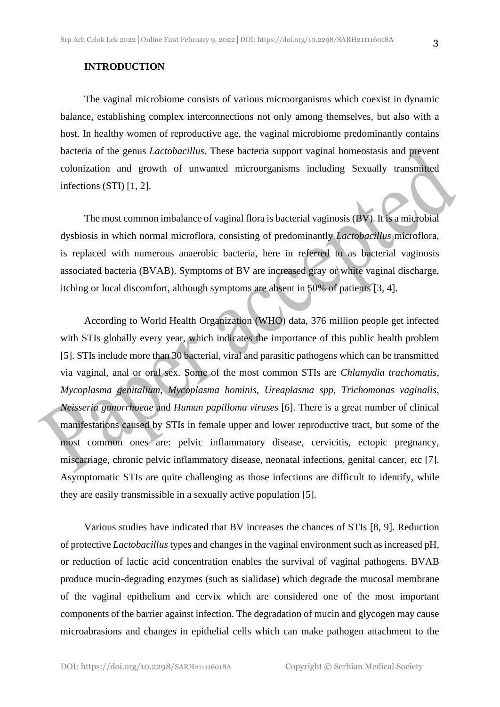The vaginal microbiome consists of various microorganisms which coexist in dynamic balance, establishing complex interconnections not only among themselves, but also with a host. In healthy women of reproductive age, the vaginal microbiome predominantly contains bacteria of the genus *Lactobacillus*. These bacteria support vaginal homeostasis and prevent colonization and growth of unwanted microorganisms including Sexually transmitted infections (STI) [1, 2].

The most common imbalance of vaginal flora is bacterial vaginosis (BV). It is a microbial dysbiosis in which normal microflora, consisting of predominantly *Lactobacillus* microflora, is replaced with numerous anaerobic bacteria, here in referred to as bacterial vaginosis associated bacteria (BVAB). Symptoms of BV are increased gray or white vaginal discharge, itching or local discomfort, although symptoms are absent in 50% of patients [3, 4].

According to World Health Organization (WHO) data, 376 million people get infected with STIs globally every year, which indicates the importance of this public health problem [5]. STIs include more than 30 bacterial, viral and parasitic pathogens which can be transmitted via vaginal, anal or oral sex. Some of the most common STIs are *Chlamydia trachomatis*, *Mycoplasma genitalium*, *Mycoplasma hominis*, *Ureaplasma spp*, *Trichomonas vaginalis*, *Neisseria gonorrhoeae* and *Human papilloma viruses* [6]. There is a great number of clinical manifestations caused by STIs in female upper and lower reproductive tract, but some of the most common ones are: pelvic inflammatory disease, cervicitis, ectopic pregnancy, miscarriage, chronic pelvic inflammatory disease, neonatal infections, genital cancer, etc [7]. Asymptomatic STIs are quite challenging as those infections are difficult to identify, while they are easily transmissible in a sexually active population [5].

Various studies have indicated that BV increases the chances of STIs [8, 9]. Reduction of protective *Lactobacillus* types and changes in the vaginal environment such as increased pH, or reduction of lactic acid concentration enables the survival of vaginal pathogens. BVAB produce mucin-degrading enzymes (such as sialidase) which degrade the mucosal membrane of the vaginal epithelium and cervix which are considered one of the most important components of the barrier against infection. The degradation of mucin and glycogen may cause microabrasions and changes in epithelial cells which can make pathogen attachment to the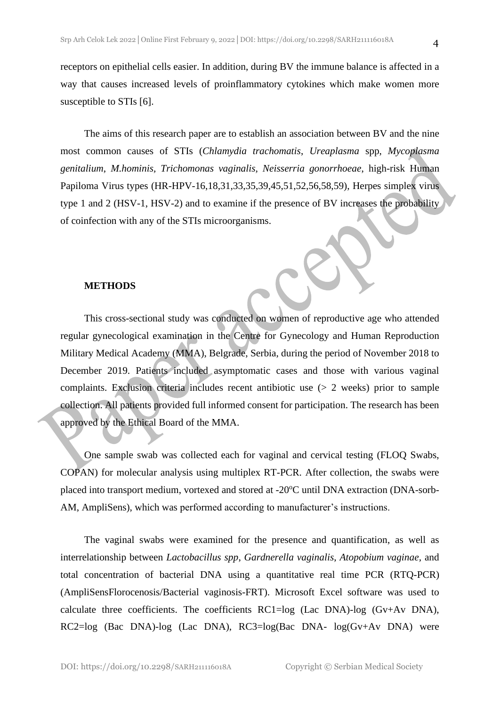receptors on epithelial cells easier. In addition, during BV the immune balance is affected in a way that causes increased levels of proinflammatory cytokines which make women more susceptible to STIs [6].

The aims of this research paper are to establish an association between BV and the nine most common causes of STIs (*Chlamydia trachomatis*, *Ureaplasma* spp, *Mycoplasma genitalium*, *M.hominis, Trichomonas vaginalis, Neisserria gonorrhoeae*, high-risk Human Papiloma Virus types (HR-HPV-16,18,31,33,35,39,45,51,52,56,58,59), Herpes simplex virus type 1 and 2 (HSV-1, HSV-2) and to examine if the presence of BV increases the probability of coinfection with any of the STIs microorganisms.

### **METHODS**

This cross-sectional study was conducted on women of reproductive age who attended regular gynecological examination in the Centre for Gynecology and Human Reproduction Military Medical Academy (MMA), Belgrade, Serbia, during the period of November 2018 to December 2019. Patients included asymptomatic cases and those with various vaginal complaints. Exclusion criteria includes recent antibiotic use (> 2 weeks) prior to sample collection. All patients provided full informed consent for participation. The research has been approved by the Ethical Board of the MMA.

One sample swab was collected each for vaginal and cervical testing (FLOQ Swabs, COPAN) for molecular analysis using multiplex RT-PCR. After collection, the swabs were placed into transport medium, vortexed and stored at -20°C until DNA extraction (DNA-sorb-AM, AmpliSens), which was performed according to manufacturer's instructions.

The vaginal swabs were examined for the presence and quantification, as well as interrelationship between *Lactobacillus spp*, *Gardnerella vaginalis*, *Atopobium vaginae,* and total concentration of bacterial DNA using a quantitative real time PCR (RTQ-PCR) (AmpliSensFlorocenosis/Bacterial vaginosis-FRT). Microsoft Excel software was used to calculate three coefficients. The coefficients RC1=log (Lac DNA)-log (Gv+Av DNA), RC2=log (Bac DNA)-log (Lac DNA), RC3=log(Bac DNA- log(Gv+Av DNA) were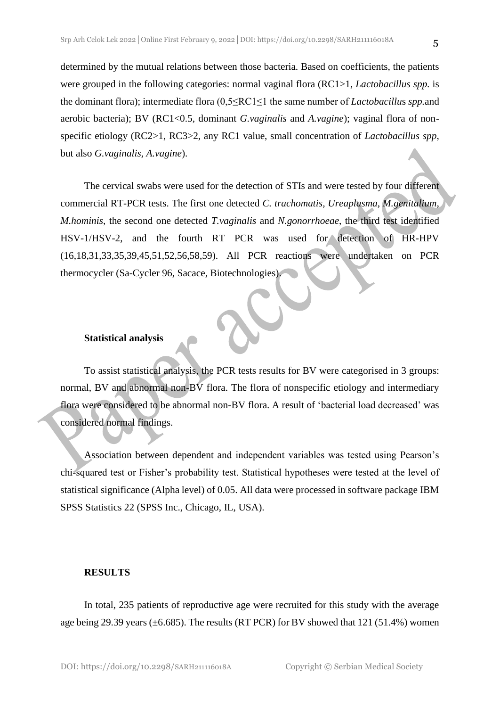determined by the mutual relations between those bacteria. Based on coefficients, the patients were grouped in the following categories: normal vaginal flora (RC1>1, *Lactobacillus spp.* is the dominant flora); intermediate flora (0,5≤RC1≤1 the same number of *Lactobacillu*s *spp.*and aerobic bacteria); BV (RC1<0.5, dominant *G.vaginalis* and *A.vagine*); vaginal flora of nonspecific etiology (RC2>1, RC3>2, any RC1 value, small concentration of *Lactobacillus spp*, but also *G.vaginalis, A.vagine*).

The cervical swabs were used for the detection of STIs and were tested by four different commercial RT-PCR tests. The first one detected *C. trachomatis, Ureaplasma*, *M.genitalium, M.hominis*, the second one detected *T.vaginalis* and *N.gonorrhoeae*, the third test identified HSV-1/HSV-2, and the fourth RT PCR was used for detection of HR-HPV (16,18,31,33,35,39,45,51,52,56,58,59). All PCR reactions were undertaken on PCR thermocycler (Sa-Cycler 96, Sacace, Biotechnologies).

### **Statistical analysis**

To assist statistical analysis, the PCR tests results for BV were categorised in 3 groups: normal, BV and abnormal non-BV flora. The flora of nonspecific etiology and intermediary flora were considered to be abnormal non-BV flora. A result of 'bacterial load decreased' was considered normal findings.

Association between dependent and independent variables was tested using Pearson's chi-squared test or Fisher's probability test. Statistical hypotheses were tested at the level of statistical significance (Alpha level) of 0.05. All data were processed in software package IBM SPSS Statistics 22 (SPSS Inc., Chicago, IL, USA).

### **RESULTS**

In total, 235 patients of reproductive age were recruited for this study with the average age being 29.39 years ( $\pm$ 6.685). The results (RT PCR) for BV showed that 121 (51.4%) women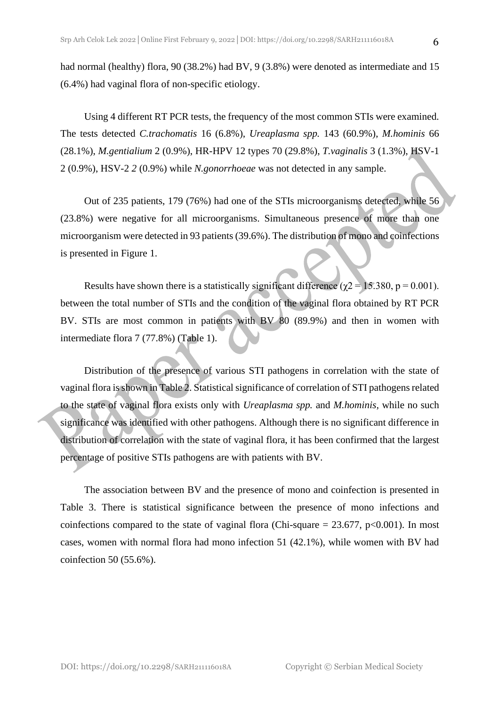had normal (healthy) flora, 90 (38.2%) had BV, 9 (3.8%) were denoted as intermediate and 15 (6.4%) had vaginal flora of non-specific etiology.

Using 4 different RT PCR tests, the frequency of the most common STIs were examined. The tests detected *C.trachomatis* 16 (6.8%), *Ureaplasma spp.* 143 (60.9%), *M.hominis* 66 (28.1%), *M.gentialium* 2 (0.9%), HR-HPV 12 types 70 (29.8%), *T.vaginalis* 3 (1.3%), HSV-1 2 (0.9%), HSV-2 *2* (0.9%) while *N.gonorrhoeae* was not detected in any sample.

Out of 235 patients, 179 (76%) had one of the STIs microorganisms detected, while 56 (23.8%) were negative for all microorganisms. Simultaneous presence of more than one microorganism were detected in 93 patients (39.6%). The distribution of mono and coinfections is presented in Figure 1.

Results have shown there is a statistically significant difference ( $\gamma$ 2 = 15.380, p = 0.001). between the total number of STIs and the condition of the vaginal flora obtained by RT PCR BV. STIs are most common in patients with BV 80 (89.9%) and then in women with intermediate flora 7 (77.8%) (Table 1).

Distribution of the presence of various STI pathogens in correlation with the state of vaginal flora is shown in Table 2. Statistical significance of correlation of STI pathogens related to the state of vaginal flora exists only with *Ureaplasma spp.* and *M.hominis,* while no such significance was identified with other pathogens. Although there is no significant difference in distribution of correlation with the state of vaginal flora, it has been confirmed that the largest percentage of positive STIs pathogens are with patients with BV.

The association between BV and the presence of mono and coinfection is presented in Table 3. There is statistical significance between the presence of mono infections and coinfections compared to the state of vaginal flora (Chi-square  $= 23.677$ , p<0.001). In most cases, women with normal flora had mono infection 51 (42.1%), while women with BV had coinfection 50 (55.6%).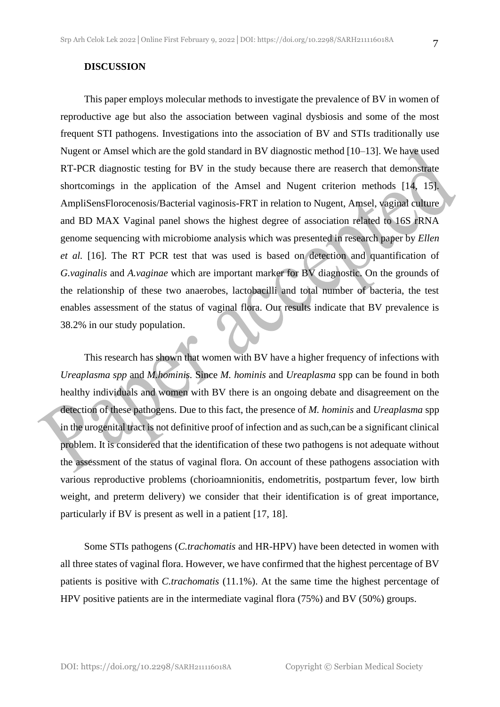### **DISCUSSION**

This paper employs molecular methods to investigate the prevalence of BV in women of reproductive age but also the association between vaginal dysbiosis and some of the most frequent STI pathogens. Investigations into the association of BV and STIs traditionally use Nugent or Amsel which are the gold standard in BV diagnostic method [10–13]. We have used RT-PCR diagnostic testing for BV in the study because there are reaserch that demonstrate shortcomings in the application of the Amsel and Nugent criterion methods [14, 15]. AmpliSensFlorocenosis/Bacterial vaginosis-FRT in relation to Nugent, Amsel, vaginal culture and BD MAX Vaginal panel shows the highest degree of association related to 16S rRNA genome sequencing with microbiome analysis which was presented in research paper by *Ellen et al.* [16]. The RT PCR test that was used is based on detection and quantification of *G.vaginalis* and *A.vaginae* which are important marker for BV diagnostic. On the grounds of the relationship of these two anaerobes, lactobacilli and total number of bacteria, the test enables assessment of the status of vaginal flora. Our results indicate that BV prevalence is 38.2% in our study population.

This research has shown that women with BV have a higher frequency of infections with *Ureaplasma spp* and *M.hominis.* Since *M. hominis* and *Ureaplasma* spp can be found in both healthy individuals and women with BV there is an ongoing debate and disagreement on the detection of these pathogens. Due to this fact, the presence of *M. hominis* and *Ureaplasma* spp in the urogenital tract is not definitive proof of infection and as such,can be a significant clinical problem. It is considered that the identification of these two pathogens is not adequate without the assessment of the status of vaginal flora. On account of these pathogens association with various reproductive problems (chorioamnionitis, endometritis, postpartum fever, low birth weight, and preterm delivery) we consider that their identification is of great importance, particularly if BV is present as well in a patient [17, 18].

Some STIs pathogens (*C.trachomatis* and HR-HPV) have been detected in women with all three states of vaginal flora. However, we have confirmed that the highest percentage of BV patients is positive with *C.trachomatis* (11.1%). At the same time the highest percentage of HPV positive patients are in the intermediate vaginal flora (75%) and BV (50%) groups.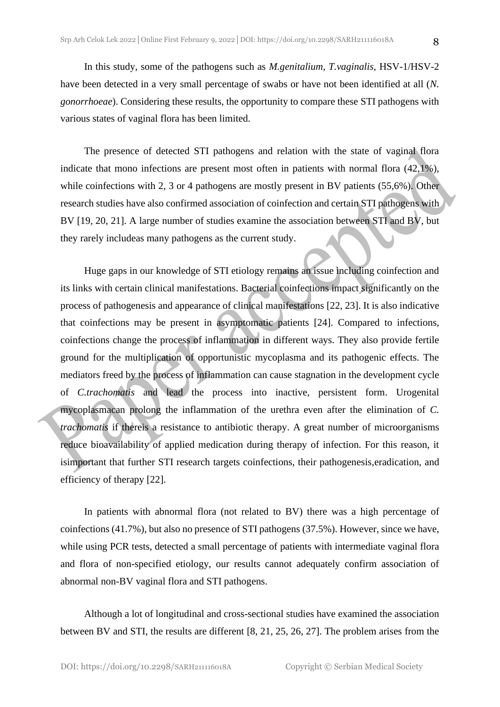In this study, some of the pathogens such as *M.genitalium, T.vaginalis,* HSV-1/HSV-2 have been detected in a very small percentage of swabs or have not been identified at all (*N. gonorrhoeae*). Considering these results, the opportunity to compare these STI pathogens with various states of vaginal flora has been limited.

The presence of detected STI pathogens and relation with the state of vaginal flora indicate that mono infections are present most often in patients with normal flora (42,1%), while coinfections with 2, 3 or 4 pathogens are mostly present in BV patients (55,6%). Other research studies have also confirmed association of coinfection and certain STI pathogens with BV [19, 20, 21]. A large number of studies examine the association between STI and BV, but they rarely includeas many pathogens as the current study.

Huge gaps in our knowledge of STI etiology remains an issue including coinfection and its links with certain clinical manifestations. Bacterial coinfections impact significantly on the process of pathogenesis and appearance of clinical manifestations [22, 23]. It is also indicative that coinfections may be present in asymptomatic patients [24]. Compared to infections, coinfections change the process of inflammation in different ways. They also provide fertile ground for the multiplication of opportunistic mycoplasma and its pathogenic effects. The mediators freed by the process of inflammation can cause stagnation in the development cycle of *C.trachomatis* and lead the process into inactive, persistent form. Urogenital mycoplasmacan prolong the inflammation of the urethra even after the elimination of *C. trachomatis* if thereis a resistance to antibiotic therapy. A great number of microorganisms reduce bioavailability of applied medication during therapy of infection. For this reason, it isimportant that further STI research targets coinfections, their pathogenesis,eradication, and efficiency of therapy [22].

In patients with abnormal flora (not related to BV) there was a high percentage of coinfections (41.7%), but also no presence of STI pathogens (37.5%). However, since we have, while using PCR tests, detected a small percentage of patients with intermediate vaginal flora and flora of non-specified etiology, our results cannot adequately confirm association of abnormal non-BV vaginal flora and STI pathogens.

Although a lot of longitudinal and cross-sectional studies have examined the association between BV and STI, the results are different [8, 21, 25, 26, 27]. The problem arises from the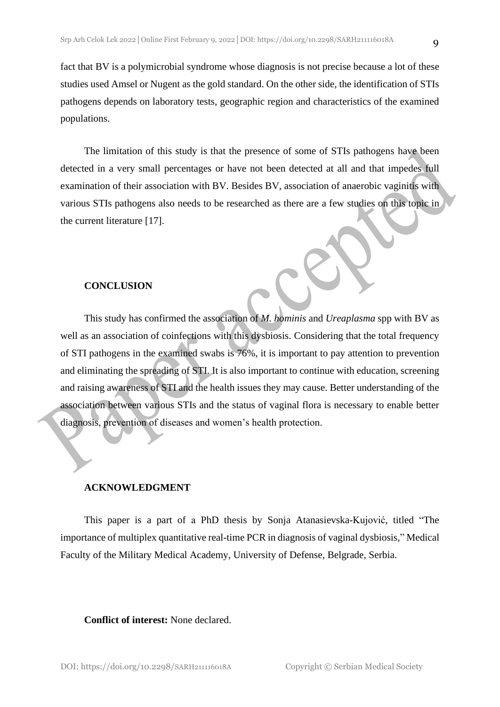fact that BV is a polymicrobial syndrome whose diagnosis is not precise because a lot of these studies used Amsel or Nugent as the gold standard. On the other side, the identification of STIs pathogens depends on laboratory tests, geographic region and characteristics of the examined populations.

The limitation of this study is that the presence of some of STIs pathogens have been detected in a very small percentages or have not been detected at all and that impedes full examination of their association with BV. Besides BV, association of anaerobic vaginitis with various STIs pathogens also needs to be researched as there are a few studies on this topic in the current literature [17].

### **CONCLUSION**

This study has confirmed the association of *M. hominis* and *Ureaplasma* spp with BV as well as an association of coinfections with this dysbiosis. Considering that the total frequency of STI pathogens in the examined swabs is 76%, it is important to pay attention to prevention and eliminating the spreading of STI. It is also important to continue with education, screening and raising awareness of STI and the health issues they may cause. Better understanding of the association between various STIs and the status of vaginal flora is necessary to enable better diagnosis, prevention of diseases and women's health protection.

### **ACKNOWLEDGMENT**

This paper is a part of а PhD thesis by Sonja Atanasievska-Kujović, titled "The importance of multiplex quantitative real-time PCR in diagnosis of vaginal dysbiosis," Medical Faculty of the Military Medical Academy, University of Defense, Belgrade, Serbia.

### **Conflict of interest:** None declared.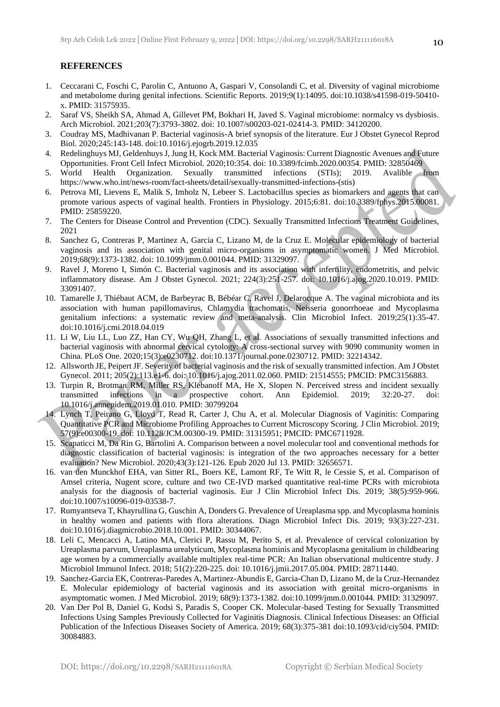### **REFERENCES**

- 1. Ceccarani C, Foschi C, Parolin C, Antuono A, Gaspari V, Consolandi C, et al. Diversity of vaginal microbiome and metabolome during genital infections. Scientific Reports. 2019;9(1):14095. doi:10.1038/s41598-019-50410 x. PMID: 31575935.
- 2. Saraf VS, Sheikh SA, Ahmad A, Gillevet PM, Bokhari H, Javed S. Vaginal microbiome: normalcy vs dysbiosis. Arch Microbiol. 2021;203(7):3793-3802. doi: 10.1007/s00203-021-02414-3. PMID: 34120200.
- 3. Coudray MS, Madhivanan P. Bacterial vaginosis-A brief synopsis of the literature. Eur J Obstet Gynecol Reprod Biol. 2020;245:143-148. doi:10.1016/j.ejogrb.2019.12.035
- 4. Redelinghuys MJ, Geldenhuys J, Jung H, Kock MM. Bacterial Vaginosis: Current Diagnostic Avenues and Future
- Opportunities. Front Cell Infect Microbiol. 2020;10:354. doi: 10.3389/fcimb.2020.00354. PMID: 32850469 5. World Health Organization. Sexually transmitted infections (STIs); 2019. Avalible from https://www.who.int/news-room/fact-sheets/detail/sexually-transmitted-infections-(stis)
- 6. Petrova MI, Lievens E, Malik S, Imholz N, Lebeer S. Lactobacillus species as biomarkers and agents that can promote various aspects of vaginal health. Frontiers in Physiology. 2015;6:81. doi:10.3389/fphys.2015.00081. PMID: 25859220.
- 7. The Centers for Disease Control and Prevention (CDC). Sexually Transmitted Infections Treatment Guidelines, 2021
- 8. Sanchez G, Contreras P, Martinez A, Garcia C, Lizano M, de la Cruz E. Molecular epidemiology of bacterial vaginosis and its association with genital micro-organisms in asymptomatic women. J Med Microbiol. 2019;68(9):1373-1382. doi: 10.1099/jmm.0.001044. PMID: 31329097.
- 9. Ravel J, Moreno I, Simón C. Bacterial vaginosis and its association with infertility, endometritis, and pelvic inflammatory disease. Am J Obstet Gynecol. 2021; 224(3):251-257. doi: 10.1016/j.ajog.2020.10.019. PMID: 33091407.
- 10. Tamarelle J, Thiébaut ACM, de Barbeyrac B, Bébéar C, Ravel J, Delarocque A. The vaginal microbiota and its association with human papillomavirus, Chlamydia trachomatis, Neisseria gonorrhoeae and Mycoplasma genitalium infections: a systematic review and meta-analysis. Clin Microbiol Infect. 2019;25(1):35-47. doi:10.1016/j.cmi.2018.04.019
- 11. Li W, Liu LL, Luo ZZ, Han CY, Wu QH, Zhang L, et al. Associations of sexually transmitted infections and bacterial vaginosis with abnormal cervical cytology: A cross-sectional survey with 9090 community women in China. PLoS One. 2020;15(3):e0230712. doi:10.1371/journal.pone.0230712. PMID: 32214342.
- 12. Allsworth JE, Peipert JF. Severity of bacterial vaginosis and the risk of sexually transmitted infection. Am J Obstet Gynecol. 2011; 205(2):113.e1-6. doi: 10.1016/j.ajog.2011.02.060. PMID: 21514555; PMCID: PMC3156883.
- 13. Turpin R, Brotman RM, Miller RS, Klebanoff MA, He X, Slopen N. Perceived stress and incident sexually transmitted infections in a prospective cohort. Ann Epidemiol. 2019; 32:20-27. doi: 10.1016/j.annepidem.2019.01.010. PMID: 30799204
- 14. Lynch T, Peirano G, Lloyd T, Read R, Carter J, Chu A, et al. Molecular Diagnosis of Vaginitis: Comparing Quantitative PCR and Microbiome Profiling Approaches to Current Microscopy Scoring. J Clin Microbiol. 2019; 57(9):e00300-19. doi: 10.1128/JCM.00300-19. PMID: 31315951; PMCID: PMC6711928.
- 15. Scapaticci M, Da Rin G, Bartolini A. Comparison between a novel molecular tool and conventional methods for diagnostic classification of bacterial vaginosis: is integration of the two approaches necessary for a better evaluation? New Microbiol. 2020;43(3):121-126. Epub 2020 Jul 13. PMID: 32656571.
- 16. van den Munckhof EHA, van Sitter RL, Boers KE, Lamont RF, Te Witt R, le Cessie S, et al. Comparison of Amsel criteria, Nugent score, culture and two CE-IVD marked quantitative real-time PCRs with microbiota analysis for the diagnosis of bacterial vaginosis. Eur J Clin Microbiol Infect Dis. 2019; 38(5):959-966. doi:10.1007/s10096-019-03538-7.
- 17. Rumyantseva T, Khayrullina G, Guschin A, Donders G. Prevalence of Ureaplasma spp. and Mycoplasma hominis in healthy women and patients with flora alterations. Diagn Microbiol Infect Dis. 2019; 93(3):227-231. doi:10.1016/j.diagmicrobio.2018.10.001. PMID: 30344067.
- 18. Leli C, Mencacci A, Latino MA, Clerici P, Rassu M, Perito S, et al. Prevalence of cervical colonization by Ureaplasma parvum, Ureaplasma urealyticum, Mycoplasma hominis and Mycoplasma genitalium in childbearing age women by a commercially available multiplex real-time PCR: An Italian observational multicentre study. J Microbiol Immunol Infect. 2018; 51(2):220-225. doi: 10.1016/j.jmii.2017.05.004. PMID: 28711440.
- 19. Sanchez-Garcia EK, Contreras-Paredes A, Martinez-Abundis E, Garcia-Chan D, Lizano M, de la Cruz-Hernandez E. Molecular epidemiology of bacterial vaginosis and its association with genital micro-organisms in asymptomatic women. J Med Microbiol. 2019; 68(9):1373-1382. doi:10.1099/jmm.0.001044. PMID: 31329097.
- 20. Van Der Pol B, Daniel G, Kodsi S, Paradis S, Cooper CK. Molecular-based Testing for Sexually Transmitted Infections Using Samples Previously Collected for Vaginitis Diagnosis. Clinical Infectious Diseases: an Official Publication of the Infectious Diseases Society of America. 2019; 68(3):375-381 doi:10.1093/cid/ciy504. PMID: 30084883.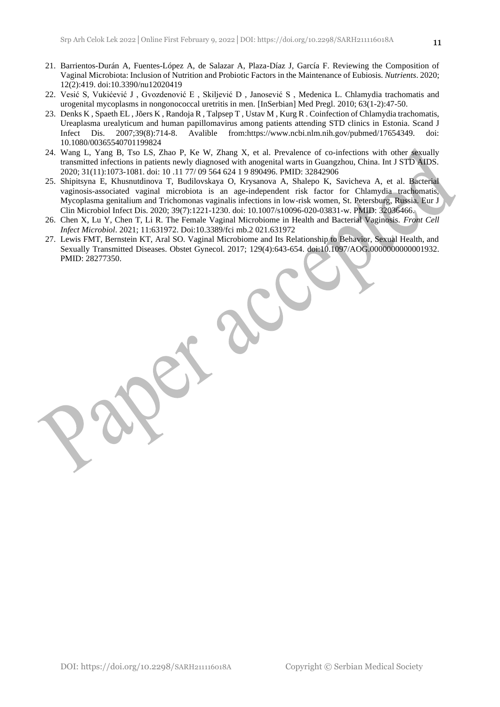- 21. Barrientos-Durán A, Fuentes-López A, de Salazar A, Plaza-Díaz J, García F. Reviewing the Composition of Vaginal Microbiota: Inclusion of Nutrition and Probiotic Factors in the Maintenance of Eubiosis. *Nutrients*. 2020; 12(2):419. doi:10.3390/nu12020419
- 22. Vesić S, Vukićević J , Gvozdenović E , Skiljević D , Janosević S , Medenica L. Chlamydia trachomatis and urogenital mycoplasms in nongonococcal uretritis in men. [InSerbian] Med Pregl. 2010; 63(1-2):47-50.
- 23. Denks K , Spaeth EL , Jõers K , Randoja R , Talpsep T , Ustav M , Kurg R . Coinfection of Chlamydia trachomatis, Ureaplasma urealyticum and human papillomavirus among patients attending STD clinics in Estonia. Scand J Infect Dis. 2007;39(8):714-8. Avalible from:https://www.ncbi.nlm.nih.gov/pubmed/17654349. doi: 10.1080/00365540701199824
- 24. Wang L, Yang B, Tso LS, Zhao P, Ke W, Zhang X, et al. Prevalence of co-infections with other sexually transmitted infections in patients newly diagnosed with anogenital warts in Guangzhou, China. Int J STD AIDS. 2020; 31(11):1073-1081. doi: 10 .11 77/ 09 564 624 1 9 890496. PMID: 32842906
- 25. Shipitsyna E, Khusnutdinova T, Budilovskaya O, Krysanova A, Shalepo K, Savicheva A, et al. Bacterial vaginosis-associated vaginal microbiota is an age-independent risk factor for Chlamydia trachomatis, Mycoplasma genitalium and Trichomonas vaginalis infections in low-risk women, St. Petersburg, Russia. Eur J Clin Microbiol Infect Dis. 2020; 39(7):1221-1230. doi: 10.1007/s10096-020-03831-w. PMID: 32036466.
- 26. Chen X, Lu Y, Chen T, Li R. The Female Vaginal Microbiome in Health and Bacterial Vaginosis. *Front Cell Infect Microbiol*. 2021; 11:631972. Doi:10.3389/fci mb.2 021.631972
- 27. Lewis FMT, Bernstein KT, Aral SO. Vaginal Microbiome and Its Relationship to Behavior, Sexual Health, and Sexually Transmitted Diseases. Obstet Gynecol. 2017; 129(4):643-654. doi:10.1097/AOG.0000000000001932. PMID: 28277350.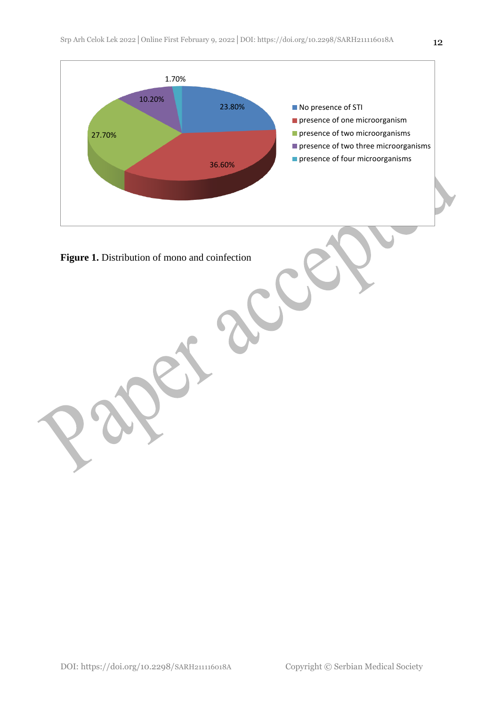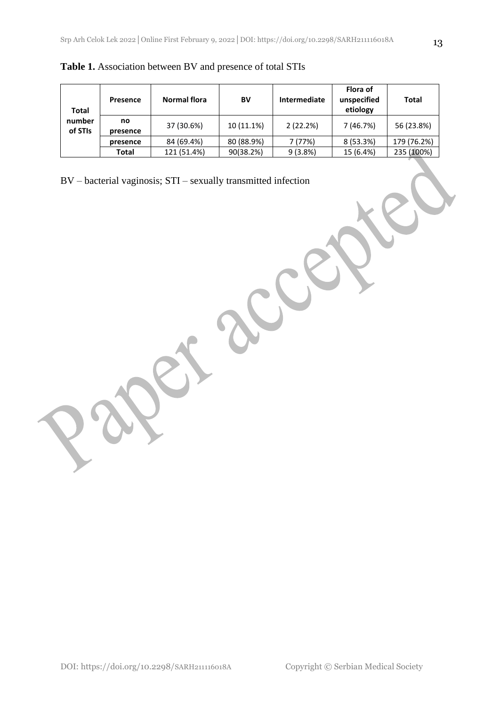| Total             | <b>Presence</b> | Normal flora | BV         | Intermediate | Flora of<br>unspecified<br>etiology | Total       |
|-------------------|-----------------|--------------|------------|--------------|-------------------------------------|-------------|
| number<br>of STIs | no<br>presence  | 37 (30.6%)   | 10 (11.1%) | 2(22.2%)     | 7 (46.7%)                           | 56 (23.8%)  |
|                   | presence        | 84 (69.4%)   | 80 (88.9%) | 7 (77%)      | 8 (53.3%)                           | 179 (76.2%) |
|                   | Total           | 121 (51.4%)  | 90(38.2%)  | 9(3.8%)      | 15 (6.4%)                           | 235 (100%)  |

**Table 1.** Association between BV and presence of total STIs

BV – bacterial vaginosis; STI – sexually transmitted infection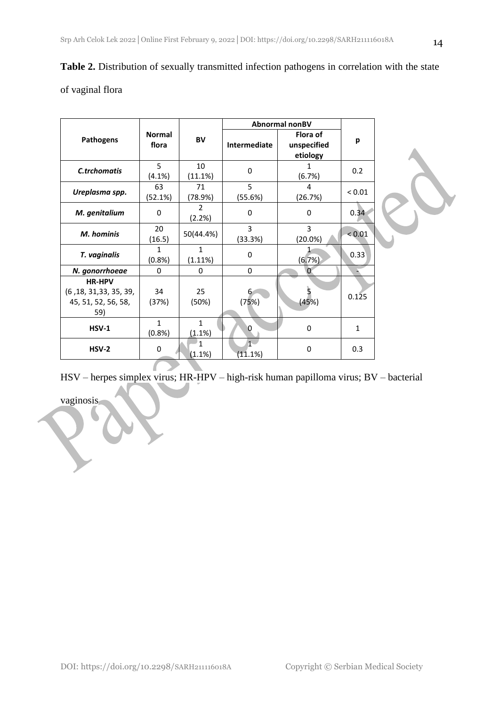|  | Table 2. Distribution of sexually transmitted infection pathogens in correlation with the state |  |
|--|-------------------------------------------------------------------------------------------------|--|
|  |                                                                                                 |  |

# of vaginal flora

|                                                                        |                         |                         | Abnormal nonBV   |                                     |            |  |
|------------------------------------------------------------------------|-------------------------|-------------------------|------------------|-------------------------------------|------------|--|
| Pathogens                                                              | <b>Normal</b><br>flora  | BV                      | Intermediate     | Flora of<br>unspecified<br>etiology | p          |  |
| C.trchomatis                                                           | 5<br>(4.1%)             | 10<br>(11.1%)           | 0                | 1<br>(6.7%)                         | 0.2        |  |
| Ureplasma spp.                                                         | 63<br>(52.1%)           | 71<br>(78.9%)           | 5<br>(55.6%)     | 4<br>(26.7%)                        | ${}< 0.01$ |  |
| M. genitalium                                                          | 0                       | 2<br>(2.2%)             | 0                | $\mathbf 0$                         | 0.34       |  |
| M. hominis                                                             | 20<br>(16.5)            | 50(44.4%)               | 3<br>(33.3%)     | 3<br>$(20.0\%)$                     | < 0.01     |  |
| T. vaginalis                                                           | $\mathbf{1}$<br>(0.8% ) | $\mathbf{1}$<br>(1.11%) | 0                | (6.7%)                              | 0.33       |  |
| N. gonorrhoeae                                                         | 0                       | 0                       | 0                | $\Omega$                            |            |  |
| <b>HR-HPV</b><br>(6, 18, 31, 33, 35, 39,<br>45, 51, 52, 56, 58,<br>59) | 34<br>(37%)             | 25<br>(50%)             | 6<br>(75%)       | (45%)                               | 0.125      |  |
| <b>HSV-1</b>                                                           | $\mathbf{1}$<br>(0.8% ) | $\mathbf{1}$<br>(1.1%)  | O                | $\mathbf 0$                         | 1          |  |
| <b>HSV-2</b>                                                           | $\pmb{0}$               | (1.1%)                  | $1 -$<br>(11.1%) | $\mathbf 0$                         | 0.3        |  |



vaginosis